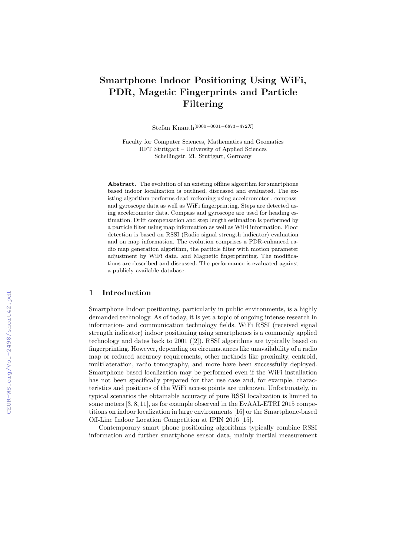# Smartphone Indoor Positioning Using WiFi, PDR, Magetic Fingerprints and Particle Filtering

Stefan Knauth[0000−0001−6873−472X]

Faculty for Computer Sciences, Mathematics and Geomatics HFT Stuttgart – University of Applied Sciences Schellingstr. 21, Stuttgart, Germany

Abstract. The evolution of an existing offline algorithm for smartphone based indoor localization is outlined, discussed and evaluated. The existing algorithm performs dead reckoning using accelerometer-, compassand gyroscope data as well as WiFi fingerprinting. Steps are detected using accelerometer data. Compass and gyroscope are used for heading estimation. Drift compensation and step length estimation is performed by a particle filter using map information as well as WiFi information. Floor detection is based on RSSI (Radio signal strength indicator) evaluation and on map information. The evolution comprises a PDR-enhanced radio map generation algorithm, the particle filter with motion parameter adjustment by WiFi data, and Magnetic fingerprinting. The modifications are described and discussed. The performance is evaluated against a publicly available database.

## 1 Introduction

Smartphone Indoor positioning, particularly in public environments, is a highly demanded technology. As of today, it is yet a topic of ongoing intense research in information- and communication technology fields. WiFi RSSI (received signal strength indicator) indoor positioning using smartphones is a commonly applied technology and dates back to 2001 ([2]). RSSI algorithms are typically based on fingerprinting. However, depending on circumstances like unavailability of a radio map or reduced accuracy requirements, other methods like proximity, centroid, multilateration, radio tomography, and more have been successfully deployed. Smartphone based localization may be performed even if the WiFi installation has not been specifically prepared for that use case and, for example, characteristics and positions of the WiFi access points are unknown. Unfortunately, in typical scenarios the obtainable accuracy of pure RSSI localization is limited to some meters [3, 8, 11], as for example observed in the EvAAL-ETRI 2015 competitions on indoor localization in large environments [16] or the Smartphone-based Off-Line Indoor Location Competition at IPIN 2016 [15].

Contemporary smart phone positioning algorithms typically combine RSSI information and further smartphone sensor data, mainly inertial measurement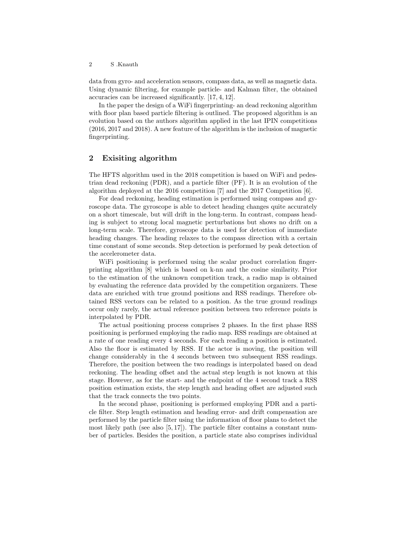2 S .Knauth

data from gyro- and acceleration sensors, compass data, as well as magnetic data. Using dynamic filtering, for example particle- and Kalman filter, the obtained accuracies can be increased significantly. [17, 4, 12].

In the paper the design of a WiFi fingerprinting- an dead reckoning algorithm with floor plan based particle filtering is outlined. The proposed algorithm is an evolution based on the authors algorithm applied in the last IPIN competitions (2016, 2017 and 2018). A new feature of the algorithm is the inclusion of magnetic fingerprinting.

## 2 Exisiting algorithm

The HFTS algorithm used in the 2018 competition is based on WiFi and pedestrian dead reckoning (PDR), and a particle filter (PF). It is an evolution of the algorithm deployed at the 2016 competition [7] and the 2017 Competition [6].

For dead reckoning, heading estimation is performed using compass and gyroscope data. The gyroscope is able to detect heading changes quite accurately on a short timescale, but will drift in the long-term. In contrast, compass heading is subject to strong local magnetic perturbations but shows no drift on a long-term scale. Therefore, gyroscope data is used for detection of immediate heading changes. The heading relaxes to the compass direction with a certain time constant of some seconds. Step detection is performed by peak detection of the accelerometer data.

WiFi positioning is performed using the scalar product correlation fingerprinting algorithm [8] which is based on k-nn and the cosine similarity. Prior to the estimation of the unknown competition track, a radio map is obtained by evaluating the reference data provided by the competition organizers. These data are enriched with true ground positions and RSS readings. Therefore obtained RSS vectors can be related to a position. As the true ground readings occur only rarely, the actual reference position between two reference points is interpolated by PDR.

The actual positioning process comprises 2 phases. In the first phase RSS positioning is performed employing the radio map. RSS readings are obtained at a rate of one reading every 4 seconds. For each reading a position is estimated. Also the floor is estimated by RSS. If the actor is moving, the position will change considerably in the 4 seconds between two subsequent RSS readings. Therefore, the position between the two readings is interpolated based on dead reckoning. The heading offset and the actual step length is not known at this stage. However, as for the start- and the endpoint of the 4 second track a RSS position estimation exists, the step length and heading offset are adjusted such that the track connects the two points.

In the second phase, positioning is performed employing PDR and a particle filter. Step length estimation and heading error- and drift compensation are performed by the particle filter using the information of floor plans to detect the most likely path (see also  $[5, 17]$ ). The particle filter contains a constant number of particles. Besides the position, a particle state also comprises individual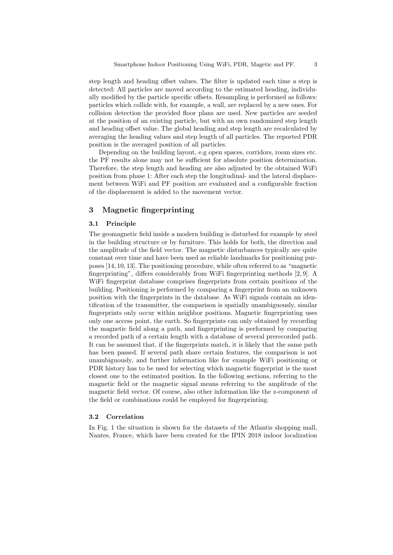step length and heading offset values. The filter is updated each time a step is detected: All particles are moved according to the estimated heading, individually modified by the particle specific offsets. Resampling is performed as follows: particles which collide with, for example, a wall, are replaced by a new ones. For collision detection the provided floor plans are used. New particles are seeded at the position of an existing particle, but with an own randomized step length and heading offset value. The global heading and step length are recalculated by averaging the heading values and step length of all particles. The reported PDR position is the averaged position of all particles.

Depending on the building layout, e.g open spaces, corridors, room sizes etc. the PF results alone may not be sufficient for absolute position determination. Therefore, the step length and heading are also adjusted by the obtained WiFi position from phase 1: After each step the longitudinal- and the lateral displacement between WiFi and PF position are evaluated and a configurable fraction of the displacement is added to the movement vector.

### 3 Magnetic fingerprinting

#### 3.1 Principle

The geomagnetic field inside a modern building is disturbed for example by steel in the building structure or by furniture. This holds for both, the direction and the amplitude of the field vector. The magnetic disturbances typically are quite constant over time and have been used as reliable landmarks for positioning purposes [14, 10, 13]. The positioning procedure, while often referred to as "magnetic fingerprinting", differs considerably from WiFi fingerprinting methods [2, 9]. A WiFi fingerprint database comprises fingerprints from certain positions of the building. Positioning is performed by comparing a fingerprint from an unknown position with the fingerprints in the database. As WiFi signals contain an identification of the transmitter, the comparison is spatially unambiguously, similar fingerprints only occur within neighbor positions. Magnetic fingerprinting uses only one access point, the earth. So fingerprints can only obtained by recording the magnetic field along a path, and fingerprinting is performed by comparing a recorded path of a certain length with a database of several prerecorded path. It can be assumed that, if the fingerprints match, it is likely that the same path has been passed. If several path share certain features, the comparison is not unambiguously, and further information like for example WiFi positioning or PDR history has to be used for selecting which magnetic fingerprint is the most closest one to the estimated position. In the following sections, referring to the magnetic field or the magnetic signal means referring to the amplitude of the magnetic field vector. Of course, also other information like the z-component of the field or combinations could be employed for fingerprinting.

#### 3.2 Correlation

In Fig. 1 the situation is shown for the datasets of the Atlantis shopping mall, Nantes, France, which have been created for the IPIN 2018 indoor localization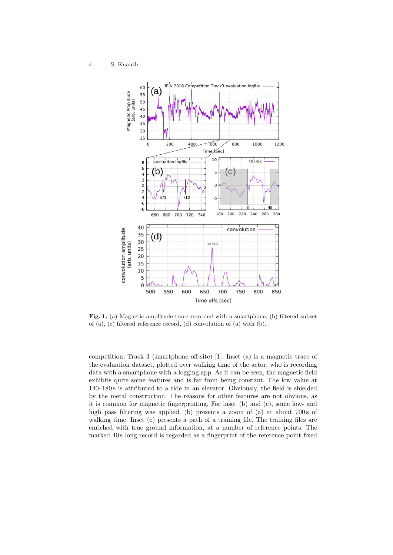

Fig. 1. (a) Magnetic amplitude trace recorded with a smartphone. (b) filtered subset of (a), (c) filtered reference record, (d) convolution of (a) with (b).

competition, Track 3 (smartphone off-site) [1]. Inset (a) is a magnetic trace of the evaluation dataset, plotted over walking time of the actor, who is recording data with a smartphone with a logging app. As it can be seen, the magnetic field exhibits quite some features and is far from being constant. The low value at 140–180 s is attributed to a ride in an elevator. Obviously, the field is shielded by the metal construction. The reasons for other features are not obvious, as it is common for magnetic fingerprinting. For inset (b) and (c), some low- and high pass filtering was applied. (b) presents a zoom of (a) at about 700 s of walking time. Inset (c) presents a path of a training file. The training files are enriched with true ground information, at a number of reference points. The marked 40 s long record is regarded as a fingerprint of the reference point fixed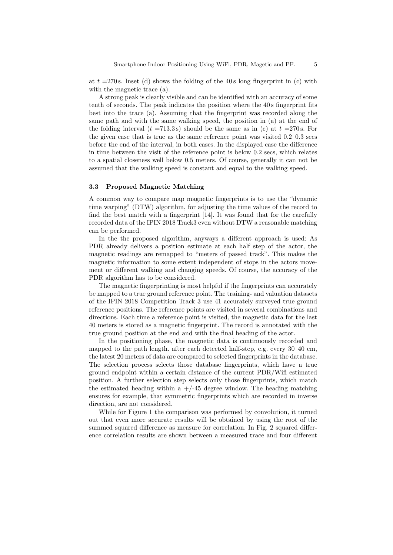at  $t = 270$  s. Inset (d) shows the folding of the 40 s long fingerprint in (c) with with the magnetic trace (a).

A strong peak is clearly visible and can be identified with an accuracy of some tenth of seconds. The peak indicates the position where the 40 s fingerprint fits best into the trace (a). Assuming that the fingerprint was recorded along the same path and with the same walking speed, the position in (a) at the end of the folding interval  $(t = 713.3 s)$  should be the same as in (c) at  $t = 270 s$ . For the given case that is true as the same reference point was visited 0.2–0.3 secs before the end of the interval, in both cases. In the displayed case the difference in time between the visit of the reference point is below 0.2 secs, which relates to a spatial closeness well below 0.5 meters. Of course, generally it can not be assumed that the walking speed is constant and equal to the walking speed.

#### 3.3 Proposed Magnetic Matching

A common way to compare map magnetic fingerprints is to use the "dynamic time warping" (DTW) algorithm, for adjusting the time values of the record to find the best match with a fingerprint [14]. It was found that for the carefully recorded data of the IPIN 2018 Track3 even without DTW a reasonable matching can be performed.

In the the proposed algorithm, anyways a different approach is used: As PDR already delivers a position estimate at each half step of the actor, the magnetic readings are remapped to "meters of passed track". This makes the magnetic information to some extent independent of stops in the actors movement or different walking and changing speeds. Of course, the accuracy of the PDR algorithm has to be considered.

The magnetic fingerprinting is most helpful if the fingerprints can accurately be mapped to a true ground reference point. The training- and valuation datasets of the IPIN 2018 Competition Track 3 use 41 accurately surveyed true ground reference positions. The reference points are visited in several combinations and directions. Each time a reference point is visited, the magnetic data for the last 40 meters is stored as a magnetic fingerprint. The record is annotated with the true ground position at the end and with the final heading of the actor.

In the positioning phase, the magnetic data is continuously recorded and mapped to the path length. after each detected half-step, e.g. every 30–40 cm, the latest 20 meters of data are compared to selected fingerprints in the database. The selection process selects those database fingerprints, which have a true ground endpoint within a certain distance of the current PDR/Wifi estimated position. A further selection step selects only those fingerprints, which match the estimated heading within a  $+/-45$  degree window. The heading matching ensures for example, that symmetric fingerprints which are recorded in inverse direction, are not considered.

While for Figure 1 the comparison was performed by convolution, it turned out that even more accurate results will be obtained by using the root of the summed squared difference as measure for correlation. In Fig. 2 squared difference correlation results are shown between a measured trace and four different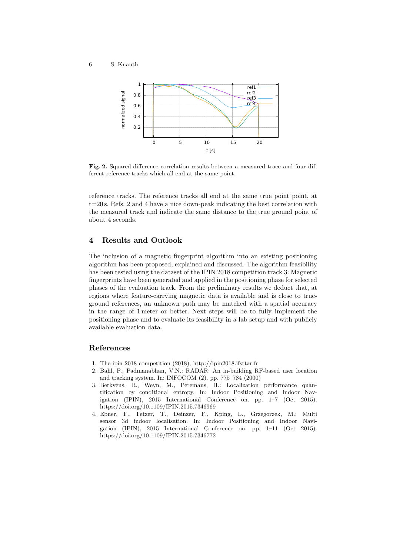

Fig. 2. Squared-difference correlation results between a measured trace and four different reference tracks which all end at the same point.

reference tracks. The reference tracks all end at the same true point point, at  $t=20$  s. Refs. 2 and 4 have a nice down-peak indicating the best correlation with the measured track and indicate the same distance to the true ground point of about 4 seconds.

## 4 Results and Outlook

The inclusion of a magnetic fingerprint algorithm into an existing positioning algorithm has been proposed, explained and discussed. The algorithm feasibility has been tested using the dataset of the IPIN 2018 competition track 3: Magnetic fingerprints have been generated and applied in the positioning phase for selected phases of the evaluation track. From the preliminary results we deduct that, at regions where feature-carrying magnetic data is available and is close to trueground references, an unknown path may be matched with a spatial accuracy in the range of 1 meter or better. Next steps will be to fully implement the positioning phase and to evaluate its feasibility in a lab setup and with publicly available evaluation data.

## References

- 1. The ipin 2018 competition (2018), http://ipin2018.ifsttar.fr
- 2. Bahl, P., Padmanabhan, V.N.: RADAR: An in-building RF-based user location and tracking system. In: INFOCOM (2). pp. 775–784 (2000)
- 3. Berkvens, R., Weyn, M., Peremans, H.: Localization performance quantification by conditional entropy. In: Indoor Positioning and Indoor Navigation (IPIN), 2015 International Conference on. pp. 1–7 (Oct 2015). https://doi.org/10.1109/IPIN.2015.7346969
- 4. Ebner, F., Fetzer, T., Deinzer, F., Kping, L., Grzegorzek, M.: Multi sensor 3d indoor localisation. In: Indoor Positioning and Indoor Navigation (IPIN), 2015 International Conference on. pp. 1–11 (Oct 2015). https://doi.org/10.1109/IPIN.2015.7346772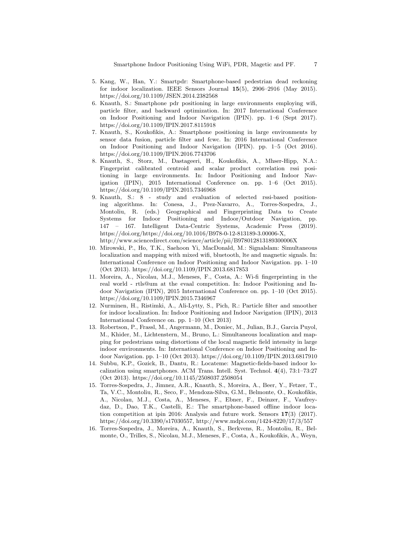- 5. Kang, W., Han, Y.: Smartpdr: Smartphone-based pedestrian dead reckoning for indoor localization. IEEE Sensors Journal  $15(5)$ , 2906–2916 (May 2015). https://doi.org/10.1109/JSEN.2014.2382568
- 6. Knauth, S.: Smartphone pdr positioning in large environments employing wifi, particle filter, and backward optimization. In: 2017 International Conference on Indoor Positioning and Indoor Navigation (IPIN). pp. 1–6 (Sept 2017). https://doi.org/10.1109/IPIN.2017.8115918
- 7. Knauth, S., Koukofikis, A.: Smartphone positioning in large environments by sensor data fusion, particle filter and fcwc. In: 2016 International Conference on Indoor Positioning and Indoor Navigation (IPIN). pp. 1–5 (Oct 2016). https://doi.org/10.1109/IPIN.2016.7743706
- 8. Knauth, S., Storz, M., Dastageeri, H., Koukofikis, A., Mhser-Hipp, N.A.: Fingerprint calibrated centroid and scalar product correlation rssi positioning in large environments. In: Indoor Positioning and Indoor Navigation (IPIN), 2015 International Conference on. pp. 1–6 (Oct 2015). https://doi.org/10.1109/IPIN.2015.7346968
- 9. Knauth, S.: 8 study and evaluation of selected rssi-based positioning algorithms. In: Conesa, J., Prez-Navarro, A., Torres-Sospedra, J., Montoliu, R. (eds.) Geographical and Fingerprinting Data to Create Systems for Indoor Positioning and Indoor/Outdoor Navigation, pp. 147 – 167. Intelligent Data-Centric Systems, Academic Press (2019). https://doi.org/https://doi.org/10.1016/B978-0-12-813189-3.00006-X, http://www.sciencedirect.com/science/article/pii/B978012813189300006X
- 10. Mirowski, P., Ho, T.K., Saehoon Yi, MacDonald, M.: Signalslam: Simultaneous localization and mapping with mixed wifi, bluetooth, lte and magnetic signals. In: International Conference on Indoor Positioning and Indoor Navigation. pp. 1–10 (Oct 2013). https://doi.org/10.1109/IPIN.2013.6817853
- 11. Moreira, A., Nicolau, M.J., Meneses, F., Costa, A.: Wi-fi fingerprinting in the real world - rtls@um at the evaal competition. In: Indoor Positioning and Indoor Navigation (IPIN), 2015 International Conference on. pp. 1–10 (Oct 2015). https://doi.org/10.1109/IPIN.2015.7346967
- 12. Nurminen, H., Ristimki, A., Ali-Lytty, S., Pich, R.: Particle filter and smoother for indoor localization. In: Indoor Positioning and Indoor Navigation (IPIN), 2013 International Conference on. pp. 1–10 (Oct 2013)
- 13. Robertson, P., Frassl, M., Angermann, M., Doniec, M., Julian, B.J., Garcia Puyol, M., Khider, M., Lichtenstern, M., Bruno, L.: Simultaneous localization and mapping for pedestrians using distortions of the local magnetic field intensity in large indoor environments. In: International Conference on Indoor Positioning and Indoor Navigation. pp. 1–10 (Oct 2013). https://doi.org/10.1109/IPIN.2013.6817910
- 14. Subbu, K.P., Gozick, B., Dantu, R.: Locateme: Magnetic-fields-based indoor localization using smartphones. ACM Trans. Intell. Syst. Technol. 4(4), 73:1–73:27 (Oct 2013). https://doi.org/10.1145/2508037.2508054
- 15. Torres-Sospedra, J., Jimnez, A.R., Knauth, S., Moreira, A., Beer, Y., Fetzer, T., Ta, V.C., Montoliu, R., Seco, F., Mendoza-Silva, G.M., Belmonte, O., Koukofikis, A., Nicolau, M.J., Costa, A., Meneses, F., Ebner, F., Deinzer, F., Vaufreydaz, D., Dao, T.K., Castelli, E.: The smartphone-based offline indoor location competition at ipin 2016: Analysis and future work. Sensors 17(3) (2017). https://doi.org/10.3390/s17030557, http://www.mdpi.com/1424-8220/17/3/557
- 16. Torres-Sospedra, J., Moreira, A., Knauth, S., Berkvens, R., Montoliu, R., Belmonte, O., Trilles, S., Nicolau, M.J., Meneses, F., Costa, A., Koukofikis, A., Weyn,